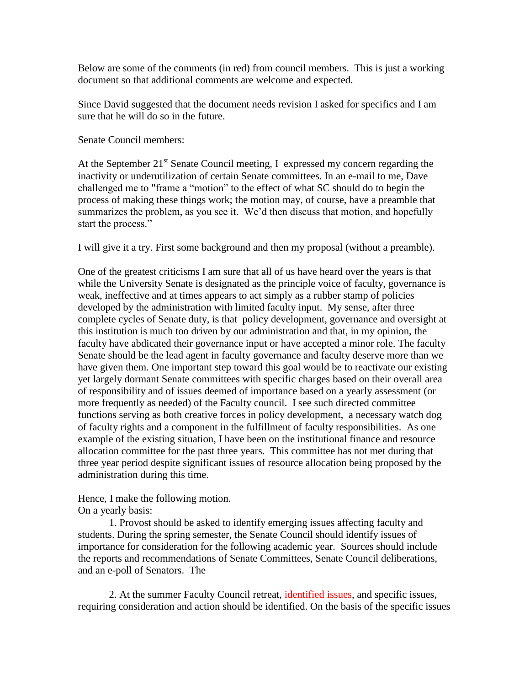Below are some of the comments (in red) from council members. This is just a working document so that additional comments are welcome and expected.

Since David suggested that the document needs revision I asked for specifics and I am sure that he will do so in the future.

Senate Council members:

At the September  $21^{st}$  Senate Council meeting, I expressed my concern regarding the inactivity or underutilization of certain Senate committees. In an e-mail to me, Dave challenged me to "frame a "motion" to the effect of what SC should do to begin the process of making these things work; the motion may, of course, have a preamble that summarizes the problem, as you see it. We'd then discuss that motion, and hopefully start the process."

I will give it a try. First some background and then my proposal (without a preamble).

One of the greatest criticisms I am sure that all of us have heard over the years is that while the University Senate is designated as the principle voice of faculty, governance is weak, ineffective and at times appears to act simply as a rubber stamp of policies developed by the administration with limited faculty input. My sense, after three complete cycles of Senate duty, is that policy development, governance and oversight at this institution is much too driven by our administration and that, in my opinion, the faculty have abdicated their governance input or have accepted a minor role. The faculty Senate should be the lead agent in faculty governance and faculty deserve more than we have given them. One important step toward this goal would be to reactivate our existing yet largely dormant Senate committees with specific charges based on their overall area of responsibility and of issues deemed of importance based on a yearly assessment (or more frequently as needed) of the Faculty council. I see such directed committee functions serving as both creative forces in policy development, a necessary watch dog of faculty rights and a component in the fulfillment of faculty responsibilities. As one example of the existing situation, I have been on the institutional finance and resource allocation committee for the past three years. This committee has not met during that three year period despite significant issues of resource allocation being proposed by the administration during this time.

Hence, I make the following motion. On a yearly basis:

1. Provost should be asked to identify emerging issues affecting faculty and students. During the spring semester, the Senate Council should identify issues of importance for consideration for the following academic year. Sources should include the reports and recommendations of Senate Committees, Senate Council deliberations, and an e-poll of Senators. The

2. At the summer Faculty Council retreat, identified issues, and specific issues, requiring consideration and action should be identified. On the basis of the specific issues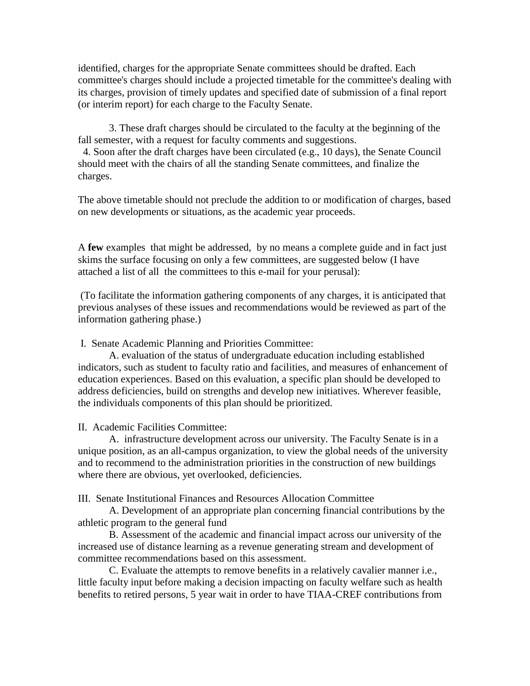identified, charges for the appropriate Senate committees should be drafted. Each committee's charges should include a projected timetable for the committee's dealing with its charges, provision of timely updates and specified date of submission of a final report (or interim report) for each charge to the Faculty Senate.

3. These draft charges should be circulated to the faculty at the beginning of the fall semester, with a request for faculty comments and suggestions.

 4. Soon after the draft charges have been circulated (e.g., 10 days), the Senate Council should meet with the chairs of all the standing Senate committees, and finalize the charges.

The above timetable should not preclude the addition to or modification of charges, based on new developments or situations, as the academic year proceeds.

A **few** examples that might be addressed, by no means a complete guide and in fact just skims the surface focusing on only a few committees, are suggested below (I have attached a list of all the committees to this e-mail for your perusal):

(To facilitate the information gathering components of any charges, it is anticipated that previous analyses of these issues and recommendations would be reviewed as part of the information gathering phase.)

I. Senate Academic Planning and Priorities Committee:

A. evaluation of the status of undergraduate education including established indicators, such as student to faculty ratio and facilities, and measures of enhancement of education experiences. Based on this evaluation, a specific plan should be developed to address deficiencies, build on strengths and develop new initiatives. Wherever feasible, the individuals components of this plan should be prioritized.

II. Academic Facilities Committee:

A. infrastructure development across our university. The Faculty Senate is in a unique position, as an all-campus organization, to view the global needs of the university and to recommend to the administration priorities in the construction of new buildings where there are obvious, yet overlooked, deficiencies.

III. Senate Institutional Finances and Resources Allocation Committee

A. Development of an appropriate plan concerning financial contributions by the athletic program to the general fund

B. Assessment of the academic and financial impact across our university of the increased use of distance learning as a revenue generating stream and development of committee recommendations based on this assessment.

C. Evaluate the attempts to remove benefits in a relatively cavalier manner i.e., little faculty input before making a decision impacting on faculty welfare such as health benefits to retired persons, 5 year wait in order to have TIAA-CREF contributions from